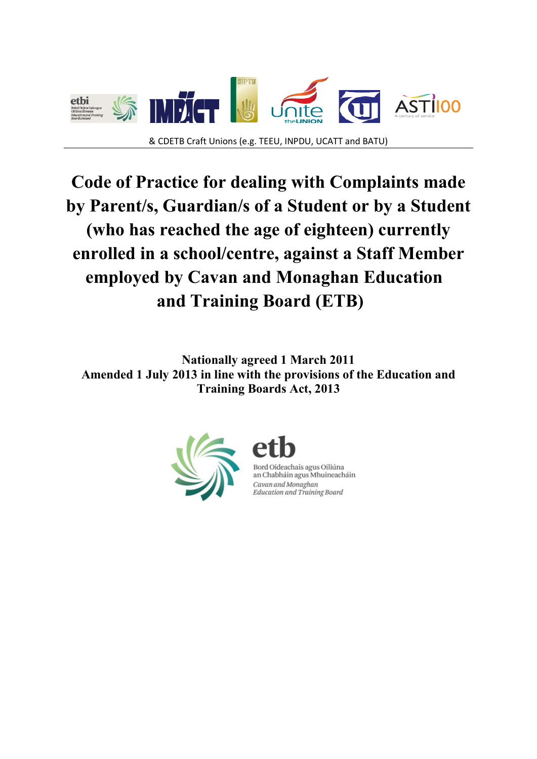

# **Code of Practice for dealing with Complaints made by Parent/s, Guardian/s of a Student or by a Student (who has reached the age of eighteen) currently enrolled in a school/centre, against a Staff Member employed by Cavan and Monaghan Education and Training Board (ETB)**

**Nationally agreed 1 March 2011 Amended 1 July 2013 in line with the provisions of the Education and Training Boards Act, 2013**





Bord Oideachais agus Oiliúna an Chabháin agus Mhuineacháin Cavan and Monaghan Education and Training Board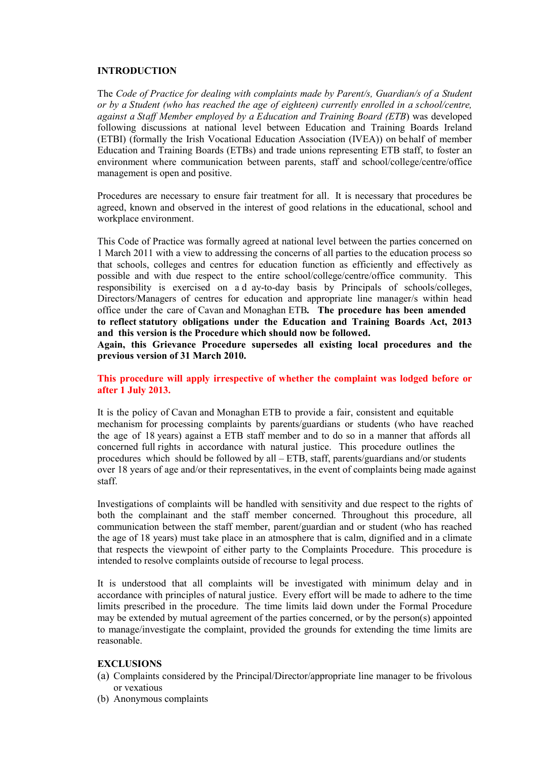#### **INTRODUCTION**

The *Code of Practice for dealing with complaints made by Parent/s, Guardian/s of a Student or by a Student (who has reached the age of eighteen) currently enrolled in a school/centre, against a Staff Member employed by a Education and Training Board (ETB*) was developed following discussions at national level between Education and Training Boards Ireland (ETBI) (formally the Irish Vocational Education Association (IVEA)) on behalf of member Education and Training Boards (ETBs) and trade unions representing ETB staff, to foster an environment where communication between parents, staff and school/college/centre/office management is open and positive.

Procedures are necessary to ensure fair treatment for all. It is necessary that procedures be agreed, known and observed in the interest of good relations in the educational, school and workplace environment.

This Code of Practice was formally agreed at national level between the parties concerned on 1 March 2011 with a view to addressing the concerns of all parties to the education process so that schools, colleges and centres for education function as efficiently and effectively as possible and with due respect to the entire school/college/centre/office community. This responsibility is exercised on a d ay-to-day basis by Principals of schools/colleges, Directors/Managers of centres for education and appropriate line manager/s within head office under the care of Cavan and Monaghan ETB*.* **The procedure has been amended to reflect statutory obligations under the Education and Training Boards Act, 2013 and this version is the Procedure which should now be followed.**

**Again, this Grievance Procedure supersedes all existing local procedures and the previous version of 31 March 2010.** 

**This procedure will apply irrespective of whether the complaint was lodged before or after 1 July 2013.** 

It is the policy of Cavan and Monaghan ETB to provide a fair, consistent and equitable mechanism for processing complaints by parents/guardians or students (who have reached the age of 18 years) against a ETB staff member and to do so in a manner that affords all concerned full rights in accordance with natural justice. This procedure outlines the procedures which should be followed by all – ETB, staff, parents/guardians and/or students over 18 years of age and/or their representatives, in the event of complaints being made against staff.

Investigations of complaints will be handled with sensitivity and due respect to the rights of both the complainant and the staff member concerned. Throughout this procedure, all communication between the staff member, parent/guardian and or student (who has reached the age of 18 years) must take place in an atmosphere that is calm, dignified and in a climate that respects the viewpoint of either party to the Complaints Procedure. This procedure is intended to resolve complaints outside of recourse to legal process.

It is understood that all complaints will be investigated with minimum delay and in accordance with principles of natural justice.Every effort will be made to adhere to the time limits prescribed in the procedure. The time limits laid down under the Formal Procedure may be extended by mutual agreement of the parties concerned, or by the person(s) appointed to manage/investigate the complaint, provided the grounds for extending the time limits are reasonable.

#### **EXCLUSIONS**

- (a) Complaints considered by the Principal/Director/appropriate line manager to be frivolous or vexatious
- (b) Anonymous complaints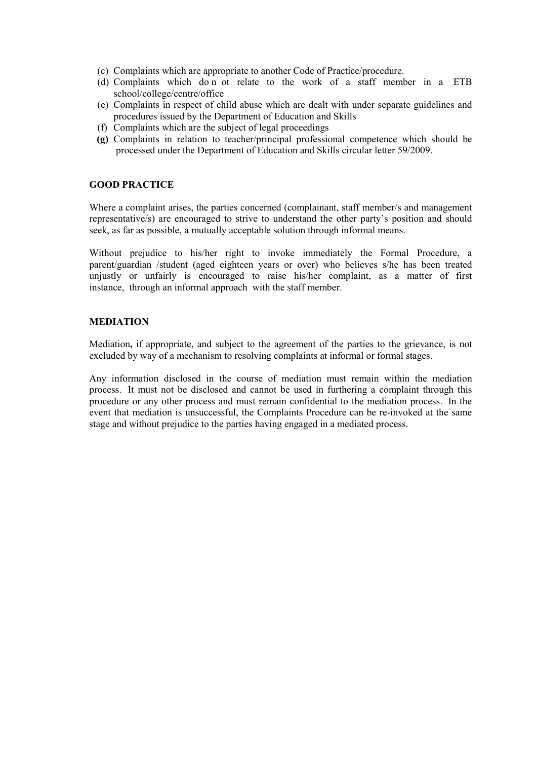- (c) Complaints which are appropriate to another Code of Practice/procedure.
- (d) Complaints which do n ot relate to the work of a staff member in a ETB school/college/centre/office
- (e) Complaints in respect of child abuse which are dealt with under separate guidelines and procedures issued by the Department of Education and Skills
- (f) Complaints which are the subject of legal proceedings
- **(g)** Complaints in relation to teacher/principal professional competence which should be processed under the Department of Education and Skills circular letter 59/2009.

#### **GOOD PRACTICE**

Where a complaint arises, the parties concerned (complainant, staff member/s and management representative/s) are encouraged to strive to understand the other party's position and should seek, as far as possible, a mutually acceptable solution through informal means.

Without prejudice to his/her right to invoke immediately the Formal Procedure, a parent/guardian /student (aged eighteen years or over) who believes s/he has been treated unjustly or unfairly is encouraged to raise his/her complaint, as a matter of first instance, through an informal approach with the staff member.

#### **MEDIATION**

Mediation**,** if appropriate, and subject to the agreement of the parties to the grievance, is not excluded by way of a mechanism to resolving complaints at informal or formal stages.

Any information disclosed in the course of mediation must remain within the mediation process. It must not be disclosed and cannot be used in furthering a complaint through this procedure or any other process and must remain confidential to the mediation process. In the event that mediation is unsuccessful, the Complaints Procedure can be re-invoked at the same stage and without prejudice to the parties having engaged in a mediated process.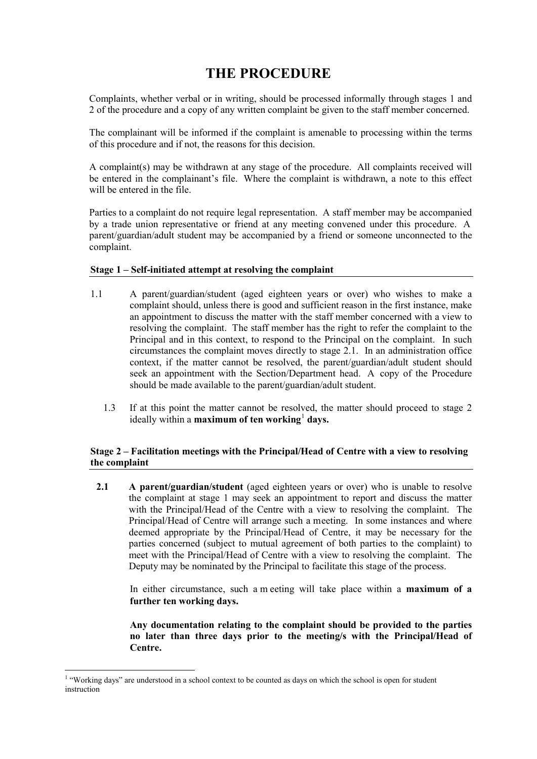# **THE PROCEDURE**

Complaints, whether verbal or in writing, should be processed informally through stages 1 and 2 of the procedure and a copy of any written complaint be given to the staff member concerned.

The complainant will be informed if the complaint is amenable to processing within the terms of this procedure and if not, the reasons for this decision.

A complaint(s) may be withdrawn at any stage of the procedure. All complaints received will be entered in the complainant's file. Where the complaint is withdrawn, a note to this effect will be entered in the file.

Parties to a complaint do not require legal representation. A staff member may be accompanied by a trade union representative or friend at any meeting convened under this procedure. A parent/guardian/adult student may be accompanied by a friend or someone unconnected to the complaint.

#### **Stage 1 – Self-initiated attempt at resolving the complaint**

- 1.1 A parent/guardian/student (aged eighteen years or over) who wishes to make a complaint should, unless there is good and sufficient reason in the first instance, make an appointment to discuss the matter with the staff member concerned with a view to resolving the complaint. The staff member has the right to refer the complaint to the Principal and in this context, to respond to the Principal on the complaint. In such circumstances the complaint moves directly to stage 2.1. In an administration office context, if the matter cannot be resolved, the parent/guardian/adult student should seek an appointment with the Section/Department head. A copy of the Procedure should be made available to the parent/guardian/adult student.
	- 1.3 If at this point the matter cannot be resolved, the matter should proceed to stage 2 ideally within a **maximum of ten working**<sup>[1](#page-3-0)</sup> days.

#### **Stage 2 – Facilitation meetings with the Principal/Head of Centre with a view to resolving the complaint**

**2.1** A **parent/guardian/student** (aged eighteen years or over) who is unable to resolve the complaint at stage 1 may seek an appointment to report and discuss the matter with the Principal/Head of the Centre with a view to resolving the complaint. The Principal/Head of Centre will arrange such a meeting. In some instances and where deemed appropriate by the Principal/Head of Centre, it may be necessary for the parties concerned (subject to mutual agreement of both parties to the complaint) to meet with the Principal/Head of Centre with a view to resolving the complaint. The Deputy may be nominated by the Principal to facilitate this stage of the process.

In either circumstance, such a m eeting will take place within a **maximum of a further ten working days.**

**Any documentation relating to the complaint should be provided to the parties no later than three days prior to the meeting/s with the Principal/Head of Centre.**

-

<span id="page-3-0"></span><sup>&</sup>lt;sup>1</sup> "Working days" are understood in a school context to be counted as days on which the school is open for student instruction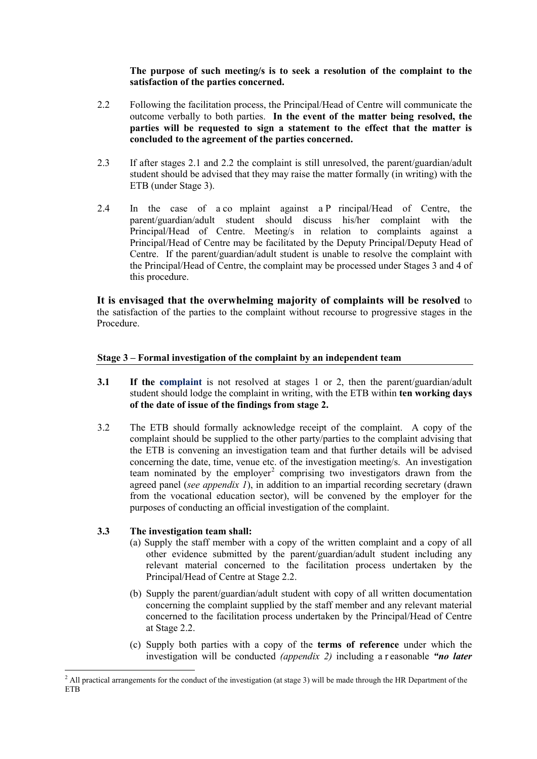**The purpose of such meeting/s is to seek a resolution of the complaint to the satisfaction of the parties concerned.**

- 2.2 Following the facilitation process, the Principal/Head of Centre will communicate the outcome verbally to both parties. **In the event of the matter being resolved, the parties will be requested to sign a statement to the effect that the matter is concluded to the agreement of the parties concerned.**
- 2.3 If after stages 2.1 and 2.2 the complaint is still unresolved, the parent/guardian/adult student should be advised that they may raise the matter formally (in writing) with the ETB (under Stage 3).
- 2.4 In the case of a co mplaint against a P rincipal/Head of Centre, the parent/guardian/adult student should discuss his/her complaint with the Principal/Head of Centre. Meeting/s in relation to complaints against a Principal/Head of Centre may be facilitated by the Deputy Principal/Deputy Head of Centre. If the parent/guardian/adult student is unable to resolve the complaint with the Principal/Head of Centre, the complaint may be processed under Stages 3 and 4 of this procedure.

**It is envisaged that the overwhelming majority of complaints will be resolved** to the satisfaction of the parties to the complaint without recourse to progressive stages in the Procedure.

#### **Stage 3 – Formal investigation of the complaint by an independent team**

- **3.1 If the complaint** is not resolved at stages 1 or 2, then the parent/guardian/adult student should lodge the complaint in writing, with the ETB within **ten working days of the date of issue of the findings from stage 2.**
- 3.2 The ETB should formally acknowledge receipt of the complaint. A copy of the complaint should be supplied to the other party/parties to the complaint advising that the ETB is convening an investigation team and that further details will be advised concerning the date, time, venue etc. of the investigation meeting/s. An investigation team nominated by the employer<sup>[2](#page-4-0)</sup> comprising two investigators drawn from the agreed panel (*see appendix 1*), in addition to an impartial recording secretary (drawn from the vocational education sector), will be convened by the employer for the purposes of conducting an official investigation of the complaint.

#### **3.3 The investigation team shall:**

- (a) Supply the staff member with a copy of the written complaint and a copy of all other evidence submitted by the parent/guardian/adult student including any relevant material concerned to the facilitation process undertaken by the Principal/Head of Centre at Stage 2.2.
- (b) Supply the parent/guardian/adult student with copy of all written documentation concerning the complaint supplied by the staff member and any relevant material concerned to the facilitation process undertaken by the Principal/Head of Centre at Stage 2.2.
- (c) Supply both parties with a copy of the **terms of reference** under which the investigation will be conducted *(appendix 2)* including a r easonable *"no later*

<span id="page-4-0"></span><sup>-</sup><sup>2</sup> All practical arrangements for the conduct of the investigation (at stage 3) will be made through the HR Department of the **ETB**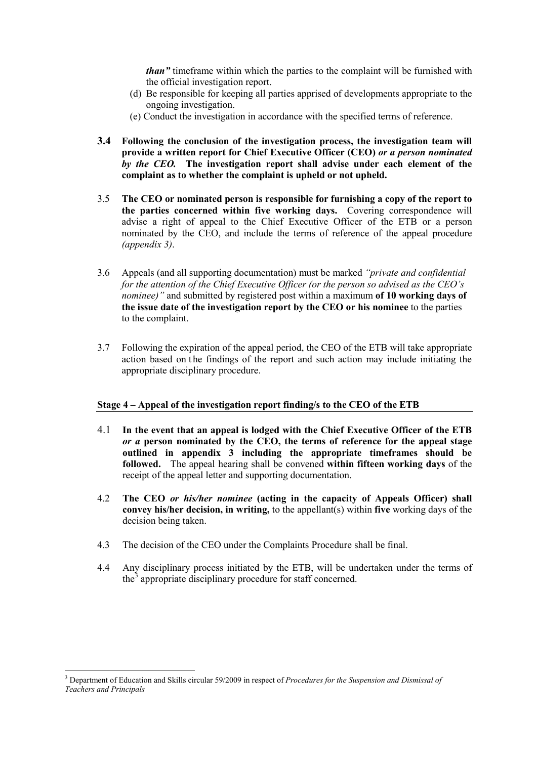*than"* timeframe within which the parties to the complaint will be furnished with the official investigation report.

- (d) Be responsible for keeping all parties apprised of developments appropriate to the ongoing investigation.
- (e) Conduct the investigation in accordance with the specified terms of reference.
- **3.4 Following the conclusion of the investigation process, the investigation team will provide a written report for Chief Executive Officer (CEO)** *or a person nominated by the CEO.* **The investigation report shall advise under each element of the complaint as to whether the complaint is upheld or not upheld.**
- 3.5 **The CEO or nominated person is responsible for furnishing a copy of the report to the parties concerned within five working days.** Covering correspondence will advise a right of appeal to the Chief Executive Officer of the ETB or a person nominated by the CEO, and include the terms of reference of the appeal procedure *(appendix 3)*.
- 3.6 Appeals (and all supporting documentation) must be marked *"private and confidential for the attention of the Chief Executive Officer (or the person so advised as the CEO's nominee)"* and submitted by registered post within a maximum **of 10 working days of the issue date of the investigation report by the CEO or his nominee** to the parties to the complaint.
- 3.7 Following the expiration of the appeal period, the CEO of the ETB will take appropriate action based on the findings of the report and such action may include initiating the appropriate disciplinary procedure.

#### **Stage 4 – Appeal of the investigation report finding/s to the CEO of the ETB**

- 4.1 **In the event that an appeal is lodged with the Chief Executive Officer of the ETB**  *or a* **person nominated by the CEO, the terms of reference for the appeal stage outlined in appendix 3 including the appropriate timeframes should be followed.** The appeal hearing shall be convened **within fifteen working days** of the receipt of the appeal letter and supporting documentation.
- 4.2 **The CEO** *or his/her nominee* **(acting in the capacity of Appeals Officer) shall convey his/her decision, in writing,** to the appellant(s) within **five** working days of the decision being taken.
- 4.3 The decision of the CEO under the Complaints Procedure shall be final.
- 4.4 Any disciplinary process initiated by the ETB, will be undertaken under the terms of the<sup>[3](#page-5-0)</sup> appropriate disciplinary procedure for staff concerned.

-

<span id="page-5-0"></span><sup>3</sup> Department of Education and Skills circular 59/2009 in respect of *Procedures for the Suspension and Dismissal of Teachers and Principals*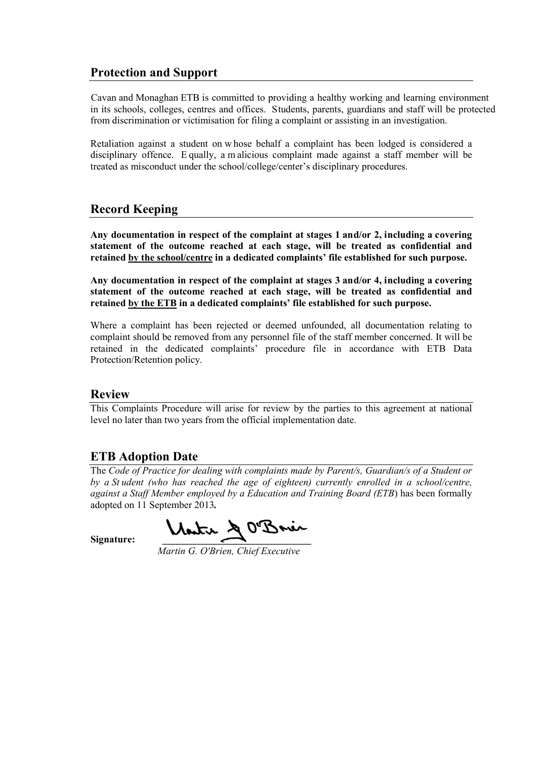# **Protection and Support**

 Cavan and Monaghan ETB is committed to providing a healthy working and learning environment in its schools, colleges, centres and offices. Students, parents, guardians and staff will be protected from discrimination or victimisation for filing a complaint or assisting in an investigation.

Retaliation against a student on w hose behalf a complaint has been lodged is considered a disciplinary offence. E qually, a m alicious complaint made against a staff member will be treated as misconduct under the school/college/center's disciplinary procedures.

# **Record Keeping**

**Any documentation in respect of the complaint at stages 1 and/or 2, including a covering statement of the outcome reached at each stage, will be treated as confidential and retained by the school/centre in a dedicated complaints' file established for such purpose.** 

**Any documentation in respect of the complaint at stages 3 and/or 4, including a covering statement of the outcome reached at each stage, will be treated as confidential and retained by the ETB in a dedicated complaints' file established for such purpose.** 

Where a complaint has been rejected or deemed unfounded, all documentation relating to complaint should be removed from any personnel file of the staff member concerned. It will be retained in the dedicated complaints' procedure file in accordance with ETB Data Protection/Retention policy.

## **Review**

This Complaints Procedure will arise for review by the parties to this agreement at national level no later than two years from the official implementation date.

## **ETB Adoption Date**

The *Code of Practice for dealing with complaints made by Parent/s, Guardian/s of a Student or by a St udent (who has reached the age of eighteen) currently enrolled in a school/centre, against a Staff Member employed by a Education and Training Board (ETB*) has been formally adopted on 11 September 2013*.*

Signature: **Mantin & O'Banin** 

 *Martin G. O'Brien, Chief Executive*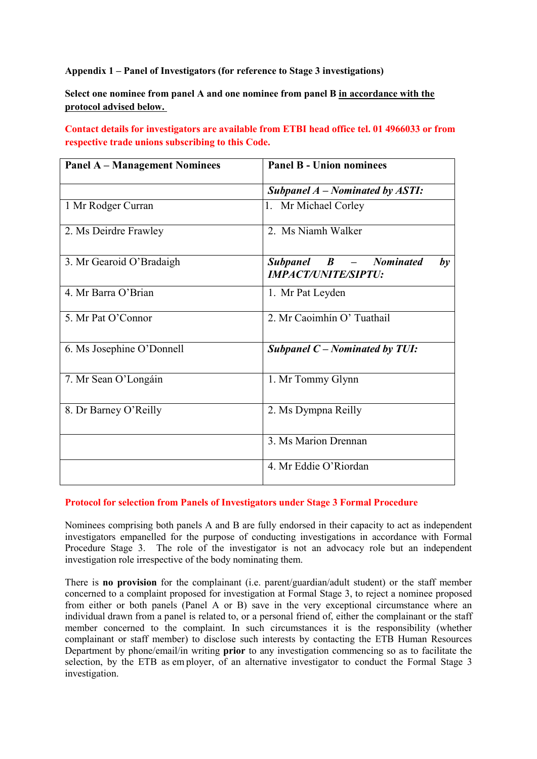**Appendix 1 – Panel of Investigators (for reference to Stage 3 investigations)**

**Select one nominee from panel A and one nominee from panel B in accordance with the protocol advised below.** 

**Contact details for investigators are available from ETBI head office tel. 01 4966033 or from respective trade unions subscribing to this Code.**

| <b>Panel A - Management Nominees</b> | <b>Panel B - Union nominees</b>                                |
|--------------------------------------|----------------------------------------------------------------|
|                                      | Subpanel $A$ – Nominated by ASTI:                              |
| 1 Mr Rodger Curran                   | 1. Mr Michael Corley                                           |
| 2. Ms Deirdre Frawley                | 2. Ms Niamh Walker                                             |
| 3. Mr Gearoid O'Bradaigh             | Subpanel B - Nominated<br>$b\nu$<br><b>IMPACT/UNITE/SIPTU:</b> |
| 4. Mr Barra O'Brian                  | 1. Mr Pat Leyden                                               |
| 5. Mr Pat O'Connor                   | 2. Mr Caoimhín O' Tuathail                                     |
| 6. Ms Josephine O'Donnell            | Subpanel $C$ – Nominated by TUI:                               |
| 7. Mr Sean O'Longáin                 | 1. Mr Tommy Glynn                                              |
| 8. Dr Barney O'Reilly                | 2. Ms Dympna Reilly                                            |
|                                      | 3. Ms Marion Drennan                                           |
|                                      | 4. Mr Eddie O'Riordan                                          |

#### **Protocol for selection from Panels of Investigators under Stage 3 Formal Procedure**

Nominees comprising both panels A and B are fully endorsed in their capacity to act as independent investigators empanelled for the purpose of conducting investigations in accordance with Formal Procedure Stage 3. The role of the investigator is not an advocacy role but an independent investigation role irrespective of the body nominating them.

There is **no provision** for the complainant (i.e. parent/guardian/adult student) or the staff member concerned to a complaint proposed for investigation at Formal Stage 3, to reject a nominee proposed from either or both panels (Panel A or B) save in the very exceptional circumstance where an individual drawn from a panel is related to, or a personal friend of, either the complainant or the staff member concerned to the complaint. In such circumstances it is the responsibility (whether complainant or staff member) to disclose such interests by contacting the ETB Human Resources Department by phone/email/in writing **prior** to any investigation commencing so as to facilitate the selection, by the ETB as em ployer, of an alternative investigator to conduct the Formal Stage 3 investigation.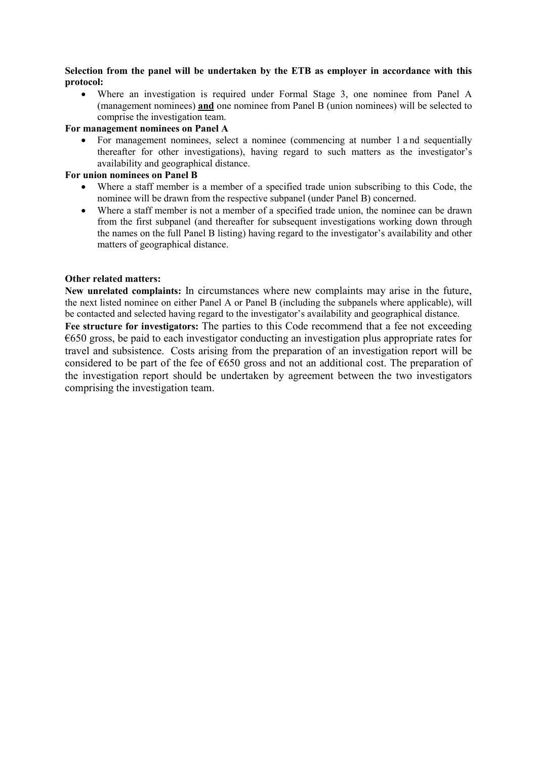#### **Selection from the panel will be undertaken by the ETB as employer in accordance with this protocol:**

• Where an investigation is required under Formal Stage 3, one nominee from Panel A (management nominees) **and** one nominee from Panel B (union nominees) will be selected to comprise the investigation team.

#### **For management nominees on Panel A**

• For management nominees, select a nominee (commencing at number 1 a nd sequentially thereafter for other investigations), having regard to such matters as the investigator's availability and geographical distance.

#### **For union nominees on Panel B**

- Where a staff member is a member of a specified trade union subscribing to this Code, the nominee will be drawn from the respective subpanel (under Panel B) concerned.
- Where a staff member is not a member of a specified trade union, the nominee can be drawn from the first subpanel (and thereafter for subsequent investigations working down through the names on the full Panel B listing) having regard to the investigator's availability and other matters of geographical distance.

#### **Other related matters:**

**New unrelated complaints:** In circumstances where new complaints may arise in the future, the next listed nominee on either Panel A or Panel B (including the subpanels where applicable), will be contacted and selected having regard to the investigator's availability and geographical distance. **Fee structure for investigators:** The parties to this Code recommend that a fee not exceeding  $\epsilon$ 650 gross, be paid to each investigator conducting an investigation plus appropriate rates for travel and subsistence. Costs arising from the preparation of an investigation report will be considered to be part of the fee of  $\epsilon$ 650 gross and not an additional cost. The preparation of the investigation report should be undertaken by agreement between the two investigators comprising the investigation team.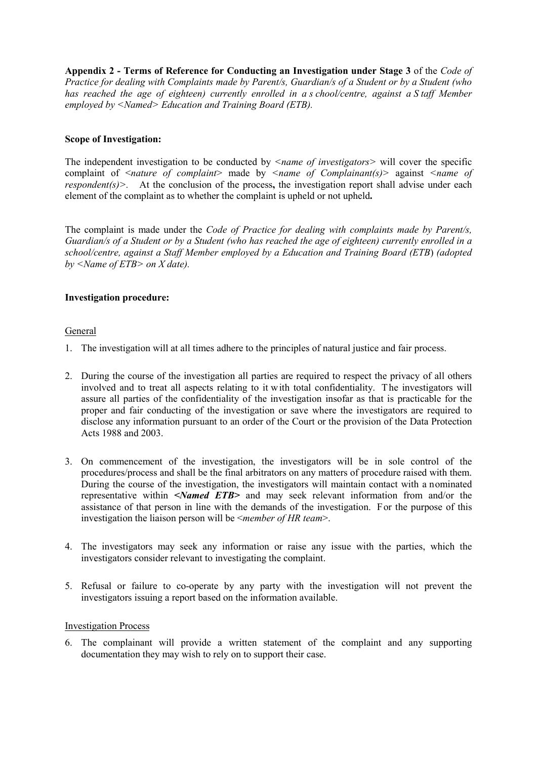**Appendix 2 - Terms of Reference for Conducting an Investigation under Stage 3** of the *Code of Practice for dealing with Complaints made by Parent/s, Guardian/s of a Student or by a Student (who has reached the age of eighteen) currently enrolled in a s chool/centre, against a S taff Member employed by <Named> Education and Training Board (ETB).* 

#### **Scope of Investigation:**

The independent investigation to be conducted by *<name of investigators>* will cover the specific complaint of *<nature of complaint>* made by *<name of Complainant(s)>* against *<name of respondent(s)>.* At the conclusion of the process, the investigation report shall advise under each element of the complaint as to whether the complaint is upheld or not upheld**.** 

The complaint is made under the *Code of Practice for dealing with complaints made by Parent/s, Guardian/s of a Student or by a Student (who has reached the age of eighteen) currently enrolled in a school/centre, against a Staff Member employed by a Education and Training Board (ETB*) *(adopted by <Name of ETB> on X date).* 

#### **Investigation procedure:**

#### General

- 1. The investigation will at all times adhere to the principles of natural justice and fair process.
- 2. During the course of the investigation all parties are required to respect the privacy of all others involved and to treat all aspects relating to it with total confidentiality. T he investigators will assure all parties of the confidentiality of the investigation insofar as that is practicable for the proper and fair conducting of the investigation or save where the investigators are required to disclose any information pursuant to an order of the Court or the provision of the Data Protection Acts 1988 and 2003.
- 3. On commencement of the investigation, the investigators will be in sole control of the procedures/process and shall be the final arbitrators on any matters of procedure raised with them. During the course of the investigation, the investigators will maintain contact with a nominated representative within *<Named ETB>* and may seek relevant information from and/or the assistance of that person in line with the demands of the investigation. For the purpose of this investigation the liaison person will be <*member of HR team*>.
- 4. The investigators may seek any information or raise any issue with the parties, which the investigators consider relevant to investigating the complaint.
- 5. Refusal or failure to co-operate by any party with the investigation will not prevent the investigators issuing a report based on the information available.

#### Investigation Process

6. The complainant will provide a written statement of the complaint and any supporting documentation they may wish to rely on to support their case.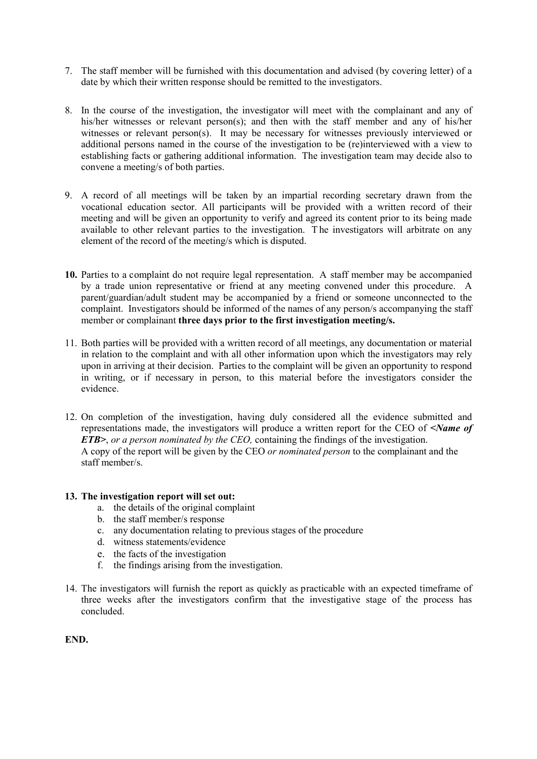- 7. The staff member will be furnished with this documentation and advised (by covering letter) of a date by which their written response should be remitted to the investigators.
- 8. In the course of the investigation, the investigator will meet with the complainant and any of his/her witnesses or relevant person(s); and then with the staff member and any of his/her witnesses or relevant person(s). It may be necessary for witnesses previously interviewed or additional persons named in the course of the investigation to be (re)interviewed with a view to establishing facts or gathering additional information. The investigation team may decide also to convene a meeting/s of both parties.
- 9. A record of all meetings will be taken by an impartial recording secretary drawn from the vocational education sector. All participants will be provided with a written record of their meeting and will be given an opportunity to verify and agreed its content prior to its being made available to other relevant parties to the investigation. T he investigators will arbitrate on any element of the record of the meeting/s which is disputed.
- **10.** Parties to a complaint do not require legal representation. A staff member may be accompanied by a trade union representative or friend at any meeting convened under this procedure. A parent/guardian/adult student may be accompanied by a friend or someone unconnected to the complaint. Investigators should be informed of the names of any person/s accompanying the staff member or complainant **three days prior to the first investigation meeting/s.**
- 11. Both parties will be provided with a written record of all meetings, any documentation or material in relation to the complaint and with all other information upon which the investigators may rely upon in arriving at their decision. Parties to the complaint will be given an opportunity to respond in writing, or if necessary in person, to this material before the investigators consider the evidence.
- 12. On completion of the investigation, having duly considered all the evidence submitted and representations made, the investigators will produce a written report for the CEO of *<Name of ETB>*, *or a person nominated by the CEO,* containing the findings of the investigation. A copy of the report will be given by the CEO *or nominated person* to the complainant and the staff member/s.

#### **13. The investigation report will set out:**

- a. the details of the original complaint
- b. the staff member/s response
- c. any documentation relating to previous stages of the procedure
- d. witness statements/evidence
- e. the facts of the investigation
- f. the findings arising from the investigation.
- 14. The investigators will furnish the report as quickly as practicable with an expected timeframe of three weeks after the investigators confirm that the investigative stage of the process has concluded.

**END.**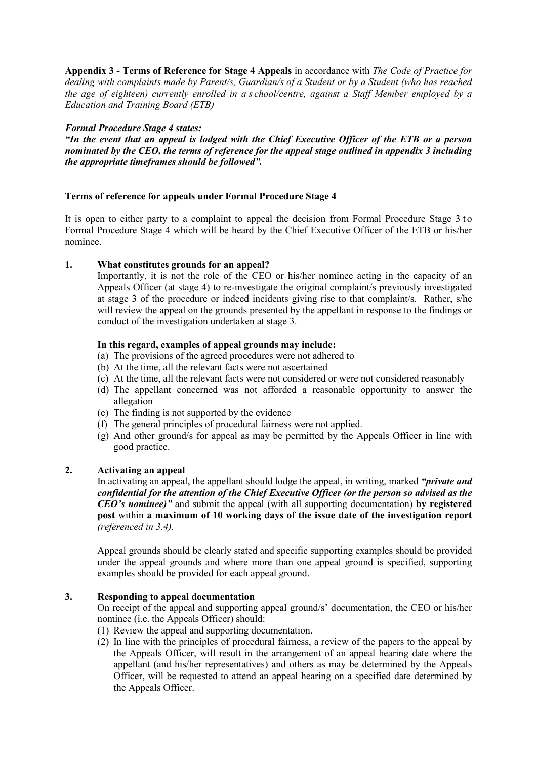**Appendix 3 - Terms of Reference for Stage 4 Appeals** in accordance with *The Code of Practice for dealing with complaints made by Parent/s, Guardian/s of a Student or by a Student (who has reached the age of eighteen) currently enrolled in a s chool/centre, against a Staff Member employed by a Education and Training Board (ETB)*

#### *Formal Procedure Stage 4 states:*

*"In the event that an appeal is lodged with the Chief Executive Officer of the ETB or a person nominated by the CEO, the terms of reference for the appeal stage outlined in appendix 3 including the appropriate timeframes should be followed".* 

#### **Terms of reference for appeals under Formal Procedure Stage 4**

It is open to either party to a complaint to appeal the decision from Formal Procedure Stage 3 to Formal Procedure Stage 4 which will be heard by the Chief Executive Officer of the ETB or his/her nominee.

#### **1. What constitutes grounds for an appeal?**

Importantly, it is not the role of the CEO or his/her nominee acting in the capacity of an Appeals Officer (at stage 4) to re-investigate the original complaint/s previously investigated at stage 3 of the procedure or indeed incidents giving rise to that complaint/s. Rather, s/he will review the appeal on the grounds presented by the appellant in response to the findings or conduct of the investigation undertaken at stage 3.

#### **In this regard, examples of appeal grounds may include:**

- (a) The provisions of the agreed procedures were not adhered to
- (b) At the time, all the relevant facts were not ascertained
- (c) At the time, all the relevant facts were not considered or were not considered reasonably
- (d) The appellant concerned was not afforded a reasonable opportunity to answer the allegation
- (e) The finding is not supported by the evidence
- (f) The general principles of procedural fairness were not applied.
- (g) And other ground/s for appeal as may be permitted by the Appeals Officer in line with good practice.

#### **2. Activating an appeal**

In activating an appeal, the appellant should lodge the appeal, in writing, marked *"private and confidential for the attention of the Chief Executive Officer (or the person so advised as the CEO's nominee)"* and submit the appeal (with all supporting documentation) **by registered post** within **a maximum of 10 working days of the issue date of the investigation report** *(referenced in 3.4).*

Appeal grounds should be clearly stated and specific supporting examples should be provided under the appeal grounds and where more than one appeal ground is specified, supporting examples should be provided for each appeal ground.

#### **3. Responding to appeal documentation**

On receipt of the appeal and supporting appeal ground/s' documentation, the CEO or his/her nominee (i.e. the Appeals Officer) should:

- (1) Review the appeal and supporting documentation.
- (2) In line with the principles of procedural fairness, a review of the papers to the appeal by the Appeals Officer, will result in the arrangement of an appeal hearing date where the appellant (and his/her representatives) and others as may be determined by the Appeals Officer, will be requested to attend an appeal hearing on a specified date determined by the Appeals Officer.